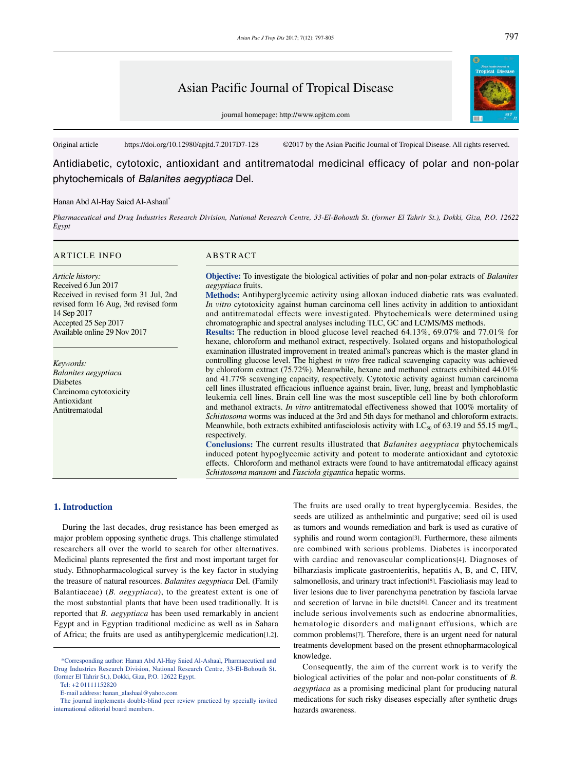# Asian Pacific Journal of Tropical Disease

journal homepage: http://www.apjtcm.com



Original article https://doi.org/10.12980/apjtd.7.2017D7-128 ©2017 by the Asian Pacific Journal of Tropical Disease. All rights reserved.

Antidiabetic, cytotoxic, antioxidant and antitrematodal medicinal efficacy of polar and non-polar phytochemicals of *Balanites aegyptiaca* Del.

#### Hanan Abd Al-Hay Saied Al-Ashaal\*

*Pharmaceutical and Drug Industries Research Division, National Research Centre, 33-El-Bohouth St. (former El Tahrir St.), Dokki, Giza, P.O. 12622 Egypt*

#### ARTICLE INFO ARSTRACT

*Article history:* Received 6 Jun 2017 Received in revised form 31 Jul, 2nd revised form 16 Aug, 3rd revised form 14 Sep 2017 Accepted 25 Sep 2017 Available online 29 Nov 2017

*Keywords: Balanites aegyptiaca* Diabetes Carcinoma cytotoxicity Antioxidant Antitrematodal

**Objective:** To investigate the biological activities of polar and non-polar extracts of *Balanites aegyptiaca* fruits.

**Methods:** Antihyperglycemic activity using alloxan induced diabetic rats was evaluated. *In vitro* cytotoxicity against human carcinoma cell lines activity in addition to antioxidant and antitrematodal effects were investigated. Phytochemicals were determined using chromatographic and spectral analyses including TLC, GC and LC/MS/MS methods.

**Results:** The reduction in blood glucose level reached 64.13%, 69.07% and 77.01% for hexane, chloroform and methanol extract, respectively. Isolated organs and histopathological examination illustrated improvement in treated animal's pancreas which is the master gland in controlling glucose level. The highest *in vitro* free radical scavenging capacity was achieved by chloroform extract (75.72%). Meanwhile, hexane and methanol extracts exhibited 44.01% and 41.77% scavenging capacity, respectively. Cytotoxic activity against human carcinoma cell lines illustrated efficacious influence against brain, liver, lung, breast and lymphoblastic leukemia cell lines. Brain cell line was the most susceptible cell line by both chloroform and methanol extracts. *In vitro* antitrematodal effectiveness showed that 100% mortality of *Schistosoma* worms was induced at the 3rd and 5th days for methanol and chloroform extracts. Meanwhile, both extracts exhibited antifasciolosis activity with  $LC_{50}$  of 63.19 and 55.15 mg/L, respectively.

**Conclusions:** The current results illustrated that *Balanites aegyptiaca* phytochemicals induced potent hypoglycemic activity and potent to moderate antioxidant and cytotoxic effects. Chloroform and methanol extracts were found to have antitrematodal efficacy against *Schistosoma mansoni* and *Fasciola gigantica* hepatic worms.

#### **1. Introduction**

 During the last decades, drug resistance has been emerged as major problem opposing synthetic drugs. This challenge stimulated researchers all over the world to search for other alternatives. Medicinal plants represented the first and most important target for study. Ethnopharmacological survey is the key factor in studying the treasure of natural resources. *Balanites aegyptiaca* Del. (Family Balantiaceae) (*B. aegyptiaca*), to the greatest extent is one of the most substantial plants that have been used traditionally. It is reported that *B. aegyptiaca* has been used remarkably in ancient Egypt and in Egyptian traditional medicine as well as in Sahara of Africa; the fruits are used as antihyperglcemic medication[1,2]. The fruits are used orally to treat hyperglycemia. Besides, the seeds are utilized as anthelmintic and purgative; seed oil is used as tumors and wounds remediation and bark is used as curative of syphilis and round worm contagion[3]. Furthermore, these ailments are combined with serious problems. Diabetes is incorporated with cardiac and renovascular complications[4]. Diagnoses of bilharziasis implicate gastroenteritis, hepatitis A, B, and C, HIV, salmonellosis, and urinary tract infection[5]. Fascioliasis may lead to liver lesions due to liver parenchyma penetration by fasciola larvae and secretion of larvae in bile ducts[6]. Cancer and its treatment include serious involvements such as endocrine abnormalities, hematologic disorders and malignant effusions, which are common problems[7]. Therefore, there is an urgent need for natural treatments development based on the present ethnopharmacological knowledge.

 Consequently, the aim of the current work is to verify the biological activities of the polar and non-polar constituents of *B. aegyptiaca* as a promising medicinal plant for producing natural medications for such risky diseases especially after synthetic drugs hazards awareness.

 <sup>\*</sup>Corresponding author: Hanan Abd Al-Hay Saied Al-Ashaal, Pharmaceutical and Drug Industries Research Division, National Research Centre, 33-El-Bohouth St. (former El Tahrir St.), Dokki, Giza, P.O. 12622 Egypt.

Tel: +2 01111152820

E-mail address: hanan\_alashaal@yahoo.com

The journal implements double-blind peer review practiced by specially invited international editorial board members.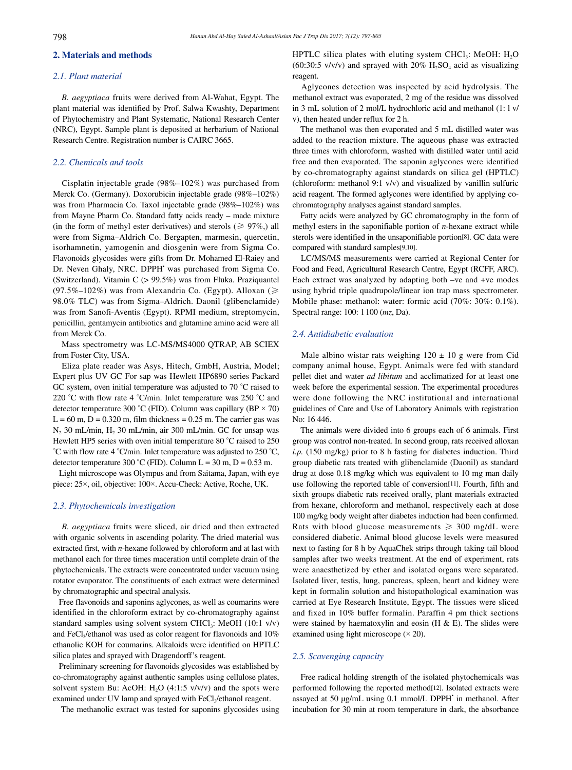# **2. Materials and methods**

# *2.1. Plant material*

 *B. aegyptiaca* fruits were derived from Al-Wahat, Egypt. The plant material was identified by Prof. Salwa Kwashty, Department of Phytochemistry and Plant Systematic, National Research Center (NRC), Egypt. Sample plant is deposited at herbarium of National Research Centre. Registration number is CAIRC 3665.

# *2.2. Chemicals and tools*

 Cisplatin injectable grade (98%–102%) was purchased from Merck Co. (Germany). Doxorubicin injectable grade (98%–102%) was from Pharmacia Co. Taxol injectable grade (98%–102%) was from Mayne Pharm Co. Standard fatty acids ready – made mixture (in the form of methyl ester derivatives) and sterols ( $\geq 97\%$ ), all were from Sigma–Aldrich Co. Bergapten, marmesin, quercetin, isorhamnetin, yamogenin and diosgenin were from Sigma Co. Flavonoids glycosides were gifts from Dr. Mohamed El-Raiey and Dr. Neven Ghaly, NRC. DPPH' was purchased from Sigma Co. (Switzerland). Vitamin C (> 99.5%) was from Fluka. Praziquantel (97.5%–102%) was from Alexandria Co. (Egypt). Alloxan ( $\geq$ 98.0% TLC) was from Sigma–Aldrich. Daonil (glibenclamide) was from Sanofi-Aventis (Egypt). RPMI medium, streptomycin, penicillin, gentamycin antibiotics and glutamine amino acid were all from Merck Co.

 Mass spectrometry was LC-MS/MS4000 QTRAP, AB SCIEX from Foster City, USA.

 Eliza plate reader was Asys, Hitech, GmbH, Austria, Model; Expert plus UV GC For sap was Hewlett HP6890 series Packard GC system, oven initial temperature was adjusted to 70 °C raised to 220 °C with flow rate 4 °C/min. Inlet temperature was 250 °C and detector temperature 300 °C (FID). Column was capillary (BP  $\times$  70)  $L = 60$  m,  $D = 0.320$  m, film thickness = 0.25 m. The carrier gas was  $N_2$  30 mL/min,  $H_2$  30 mL/min, air 300 mL/min. GC for unsap was Hewlett HP5 series with oven initial temperature 80 °C raised to 250 °C with flow rate 4 °C/min. Inlet temperature was adjusted to 250 °C, detector temperature 300 °C (FID). Column L = 30 m, D = 0.53 m.

 Light microscope was Olympus and from Saitama, Japan, with eye piece: 25×, oil, objective: 100×. Accu-Check: Active, Roche, UK.

# *2.3. Phytochemicals investigation*

 *B. aegyptiaca* fruits were sliced, air dried and then extracted with organic solvents in ascending polarity. The dried material was extracted first, with *n*-hexane followed by chloroform and at last with methanol each for three times maceration until complete drain of the phytochemicals. The extracts were concentrated under vacuum using rotator evaporator. The constituents of each extract were determined by chromatographic and spectral analysis.

 Free flavonoids and saponins aglycones, as well as coumarins were identified in the chloroform extract by co-chromatography against standard samples using solvent system CHCl<sub>3</sub>: MeOH (10:1 v/v) and FeCl<sub>3</sub>/ethanol was used as color reagent for flavonoids and  $10\%$ ethanolic KOH for coumarins. Alkaloids were identified on HPTLC silica plates and sprayed with Dragendorff's reagent.

 Preliminary screening for flavonoids glycosides was established by co-chromatography against authentic samples using cellulose plates, solvent system Bu: AcOH: H<sub>2</sub>O (4:1:5  $v/v/v$ ) and the spots were examined under UV lamp and sprayed with FeCl<sub>3</sub>/ethanol reagent.

The methanolic extract was tested for saponins glycosides using

HPTLC silica plates with eluting system CHCl<sub>3</sub>: MeOH:  $H_2O$ (60:30:5 v/v/v) and sprayed with  $20\%$  H<sub>2</sub>SO<sub>4</sub> acid as visualizing reagent.

 Aglycones detection was inspected by acid hydrolysis. The methanol extract was evaporated, 2 mg of the residue was dissolved in 3 mL solution of 2 mol/L hydrochloric acid and methanol (1: l v/ v), then heated under reflux for 2 h.

 The methanol was then evaporated and 5 mL distilled water was added to the reaction mixture. The aqueous phase was extracted three times with chloroform, washed with distilled water until acid free and then evaporated. The saponin aglycones were identified by co-chromatography against standards on silica gel (HPTLC) (chloroform: methanol 9:1 v/v) and visualized by vanillin sulfuric acid reagent. The formed aglycones were identified by applying cochromatography analyses against standard samples.

 Fatty acids were analyzed by GC chromatography in the form of methyl esters in the saponifiable portion of *n*-hexane extract while sterols were identified in the unsaponifiable portion[8]. GC data were compared with standard samples[9,10].

 LC/MS/MS measurements were carried at Regional Center for Food and Feed, Agricultural Research Centre, Egypt (RCFF, ARC). Each extract was analyzed by adapting both –ve and +ve modes using hybrid triple quadrupole/linear ion trap mass spectrometer. Mobile phase: methanol: water: formic acid (70%: 30%: 0.1%). Spectral range: 100: 1100 (*mz*, Da).

# *2.4. Antidiabetic evaluation*

Male albino wistar rats weighing  $120 \pm 10$  g were from Cid company animal house, Egypt. Animals were fed with standard pellet diet and water *ad libitum* and acclimatized for at least one week before the experimental session. The experimental procedures were done following the NRC institutional and international guidelines of Care and Use of Laboratory Animals with registration No: 16 446.

 The animals were divided into 6 groups each of 6 animals. First group was control non-treated. In second group, rats received alloxan *i.p.* (150 mg/kg) prior to 8 h fasting for diabetes induction. Third group diabetic rats treated with glibenclamide (Daonil) as standard drug at dose 0.18 mg/kg which was equivalent to 10 mg man daily use following the reported table of conversion[11]. Fourth, fifth and sixth groups diabetic rats received orally, plant materials extracted from hexane, chloroform and methanol, respectively each at dose 100 mg/kg body weight after diabetes induction had been confirmed. Rats with blood glucose measurements  $\geq 300$  mg/dL were considered diabetic. Animal blood glucose levels were measured next to fasting for 8 h by AquaChek strips through taking tail blood samples after two weeks treatment. At the end of experiment, rats were anaesthetized by ether and isolated organs were separated. Isolated liver, testis, lung, pancreas, spleen, heart and kidney were kept in formalin solution and histopathological examination was carried at Eye Research Institute, Egypt. The tissues were sliced and fixed in 10% buffer formalin. Paraffin 4 pm thick sections were stained by haematoxylin and eosin (H & E). The slides were examined using light microscope  $(\times 20)$ .

### *2.5. Scavenging capacity*

 Free radical holding strength of the isolated phytochemicals was performed following the reported method[12]. Isolated extracts were assayed at 50 µg/mL using 0.1 mmol/L DPPH' in methanol. After incubation for 30 min at room temperature in dark, the absorbance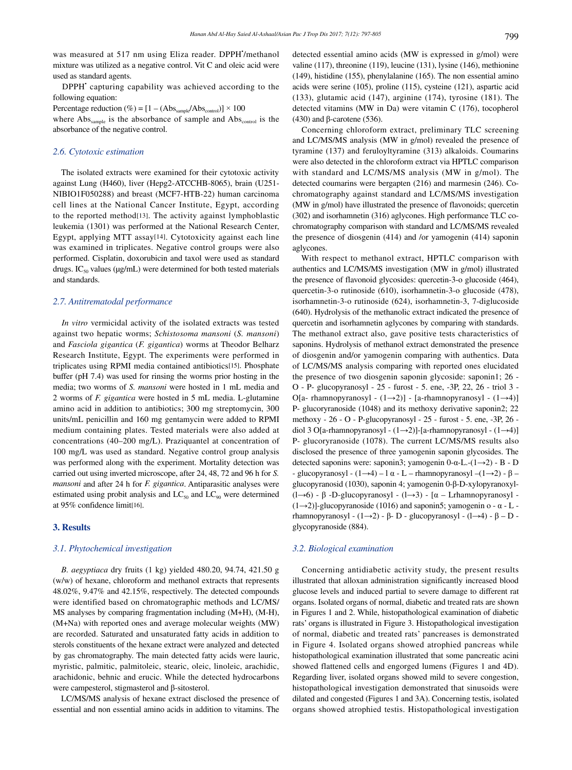was measured at 517 nm using Eliza reader. DPPH'/methanol mixture was utilized as a negative control. Vit C and oleic acid were used as standard agents.

DPPH<sup>\*</sup> capturing capability was achieved according to the following equation:

Percentage reduction (%) =  $[1 - (Abs_{sample}/Abs_{control})] \times 100$ where Abs<sub>sample</sub> is the absorbance of sample and Abs<sub>control</sub> is the absorbance of the negative control.

# *2.6. Cytotoxic estimation*

 The isolated extracts were examined for their cytotoxic activity against Lung (H460), liver (Hepg2-ATCCHB-8065), brain (U251- NIBIO1F050288) and breast (MCF7-HTB-22) human carcinoma cell lines at the National Cancer Institute, Egypt, according to the reported method[13]. The activity against lymphoblastic leukemia (1301) was performed at the National Research Center, Egypt, applying MTT assay[14]. Cytotoxicity against each line was examined in triplicates. Negative control groups were also performed. Cisplatin, doxorubicin and taxol were used as standard drugs. IC<sub>50</sub> values ( $\mu$ g/mL) were determined for both tested materials and standards.

#### *2.7. Antitrematodal performance*

 *In vitro* vermicidal activity of the isolated extracts was tested against two hepatic worms; *Schistosoma mansoni* (*S. mansoni*) and *Fasciola gigantica* (*F. gigantica*) worms at Theodor Belharz Research Institute, Egypt. The experiments were performed in triplicates using RPMI media contained antibiotics[15]. Phosphate buffer (pH 7.4) was used for rinsing the worms prior hosting in the media; two worms of *S. mansoni* were hosted in 1 mL media and 2 worms of *F. gigantica* were hosted in 5 mL media. L-glutamine amino acid in addition to antibiotics; 300 mg streptomycin, 300 units/mL penicillin and 160 mg gentamycin were added to RPMI medium containing plates. Tested materials were also added at concentrations (40–200 mg/L). Praziquantel at concentration of 100 mg/L was used as standard. Negative control group analysis was performed along with the experiment. Mortality detection was carried out using inverted microscope, after 24, 48, 72 and 96 h for *S. mansoni* and after 24 h for *F. gigantica*. Antiparasitic analyses were estimated using probit analysis and  $LC_{50}$  and  $LC_{90}$  were determined at 95% confidence limit[16].

# **3. Results**

#### *3.1. Phytochemical investigation*

 *B. aegyptiaca* dry fruits (1 kg) yielded 480.20, 94.74, 421.50 g (w/w) of hexane, chloroform and methanol extracts that represents 48.02%, 9.47% and 42.15%, respectively. The detected compounds were identified based on chromatographic methods and LC/MS/ MS analyses by comparing fragmentation including (M+H), (M-H), (M+Na) with reported ones and average molecular weights (MW) are recorded. Saturated and unsaturated fatty acids in addition to sterols constituents of the hexane extract were analyzed and detected by gas chromatography. The main detected fatty acids were lauric, myristic, palmitic, palmitoleic, stearic, oleic, linoleic, arachidic, arachidonic, behnic and erucic. While the detected hydrocarbons were campesterol, stigmasterol and β-sitosterol.

 LC/MS/MS analysis of hexane extract disclosed the presence of essential and non essential amino acids in addition to vitamins. The detected essential amino acids (MW is expressed in g/mol) were valine (117), threonine (119), leucine (131), lysine (146), methionine (149), histidine (155), phenylalanine (165). The non essential amino acids were serine (105), proline (115), cysteine (121), aspartic acid (133), glutamic acid (147), arginine (174), tyrosine (181). The detected vitamins (MW in Da) were vitamin C (176), tocopherol (430) and β-carotene (536).

 Concerning chloroform extract, preliminary TLC screening and LC/MS/MS analysis (MW in g/mol) revealed the presence of tyramine (137) and feruloyltyramine (313) alkaloids. Coumarins were also detected in the chloroform extract via HPTLC comparison with standard and LC/MS/MS analysis (MW in g/mol). The detected coumarins were bergapten (216) and marmesin (246). Cochromatography against standard and LC/MS/MS investigation (MW in g/mol) have illustrated the presence of flavonoids; quercetin (302) and isorhamnetin (316) aglycones. High performance TLC cochromatography comparison with standard and LC/MS/MS revealed the presence of diosgenin (414) and /or yamogenin (414) saponin aglycones.

 With respect to methanol extract, HPTLC comparison with authentics and LC/MS/MS investigation (MW in g/mol) illustrated the presence of flavonoid glycosides: quercetin-3-o glucoside (464), quercetin-3-o rutinoside (610), isorhamnetin-3-o glucoside (478), isorhamnetin-3-o rutinoside (624), isorhamnetin-3, 7-diglucoside (640). Hydrolysis of the methanolic extract indicated the presence of quercetin and isorhamnetin aglycones by comparing with standards. The methanol extract also, gave positive tests characteristics of saponins. Hydrolysis of methanol extract demonstrated the presence of diosgenin and/or yamogenin comparing with authentics. Data of LC/MS/MS analysis comparing with reported ones elucidated the presence of two diosgenin saponin glycoside: saponin1; 26 - O - P- glucopyranosyl - 25 - furost - 5. ene, -3P, 22, 26 - triol 3 - O[a- rhamnopyranosyl - (1→2)] - [a-rhamnopyranosyl - (1→4)] P- glucoryranoside (1048) and its methoxy derivative saponin2; 22 methoxy - 26 - O - P-glucopyranosyl - 25 - furost - 5. ene, -3P, 26 diol 3 O[a-rhamnopyranosyl - (1→2)]-[a-rhamnopyranosyl - (1→4)] P- glucoryranoside (1078). The current LC/MS/MS results also disclosed the presence of three yamogenin saponin glycosides. The detected saponins were: saponin3; yamogenin 0-α-L.-(1→2) - B - D - glucopyranosyl - (1→4) – l α - L – rhamnopyranosyl –(1→2) - β – glucopyranosid (1030), saponin 4; yamogenin 0-β-D-xylopyranoxyl- (l→6) - β -D-glucopyranosyl - (l→3) - [α – Lrhamnopyranosyl -  $(1\rightarrow 2)$ ]-glucopyranoside (1016) and saponin5; yamogenin o -  $\alpha$  - L rhamnopyranosyl - (1→2) - β- D - glucopyranosyl - (1→4) - β - D glycopyranoside (884).

#### *3.2. Biological examination*

 Concerning antidiabetic activity study, the present results illustrated that alloxan administration significantly increased blood glucose levels and induced partial to severe damage to different rat organs. Isolated organs of normal, diabetic and treated rats are shown in Figures 1 and 2. While, histopathological examination of diabetic rats' organs is illustrated in Figure 3. Histopathological investigation of normal, diabetic and treated rats' pancreases is demonstrated in Figure 4. Isolated organs showed atrophied pancreas while histopathological examination illustrated that some pancreatic acini showed flattened cells and engorged lumens (Figures 1 and 4D). Regarding liver, isolated organs showed mild to severe congestion, histopathological investigation demonstrated that sinusoids were dilated and congested (Figures 1 and 3A). Concerning testis, isolated organs showed atrophied testis. Histopathological investigation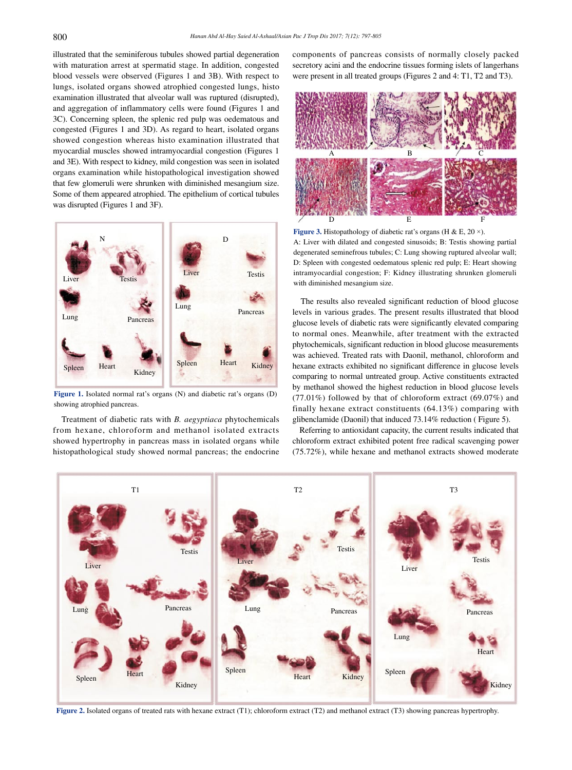illustrated that the seminiferous tubules showed partial degeneration with maturation arrest at spermatid stage. In addition, congested blood vessels were observed (Figures 1 and 3B). With respect to lungs, isolated organs showed atrophied congested lungs, histo examination illustrated that alveolar wall was ruptured (disrupted), and aggregation of inflammatory cells were found (Figures 1 and 3C). Concerning spleen, the splenic red pulp was oedematous and congested (Figures 1 and 3D). As regard to heart, isolated organs showed congestion whereas histo examination illustrated that myocardial muscles showed intramyocardial congestion (Figures 1 and 3E). With respect to kidney, mild congestion was seen in isolated organs examination while histopathological investigation showed that few glomeruli were shrunken with diminished mesangium size. Some of them appeared atrophied. The epithelium of cortical tubules was disrupted (Figures 1 and 3F).



**Figure 1.** Isolated normal rat's organs (N) and diabetic rat's organs (D) showing atrophied pancreas.

 Treatment of diabetic rats with *B. aegyptiaca* phytochemicals from hexane, chloroform and methanol isolated extracts showed hypertrophy in pancreas mass in isolated organs while histopathological study showed normal pancreas; the endocrine components of pancreas consists of normally closely packed secretory acini and the endocrine tissues forming islets of langerhans were present in all treated groups (Figures 2 and 4: T1, T2 and T3).



Figure 3. Histopathology of diabetic rat's organs (H & E, 20  $\times$ ). A: Liver with dilated and congested sinusoids; B: Testis showing partial degenerated seminefrous tubules; C: Lung showing ruptured alveolar wall; D: Spleen with congested oedematous splenic red pulp; E: Heart showing intramyocardial congestion; F: Kidney illustrating shrunken glomeruli with diminished mesangium size.

 The results also revealed significant reduction of blood glucose levels in various grades. The present results illustrated that blood glucose levels of diabetic rats were significantly elevated comparing to normal ones. Meanwhile, after treatment with the extracted phytochemicals, significant reduction in blood glucose measurements was achieved. Treated rats with Daonil, methanol, chloroform and hexane extracts exhibited no significant difference in glucose levels comparing to normal untreated group. Active constituents extracted by methanol showed the highest reduction in blood glucose levels (77.01%) followed by that of chloroform extract (69.07%) and finally hexane extract constituents (64.13%) comparing with glibenclamide (Daonil) that induced 73.14% reduction ( Figure 5).

 Referring to antioxidant capacity, the current results indicated that chloroform extract exhibited potent free radical scavenging power (75.72%), while hexane and methanol extracts showed moderate



**Figure 2.** Isolated organs of treated rats with hexane extract (T1); chloroform extract (T2) and methanol extract (T3) showing pancreas hypertrophy.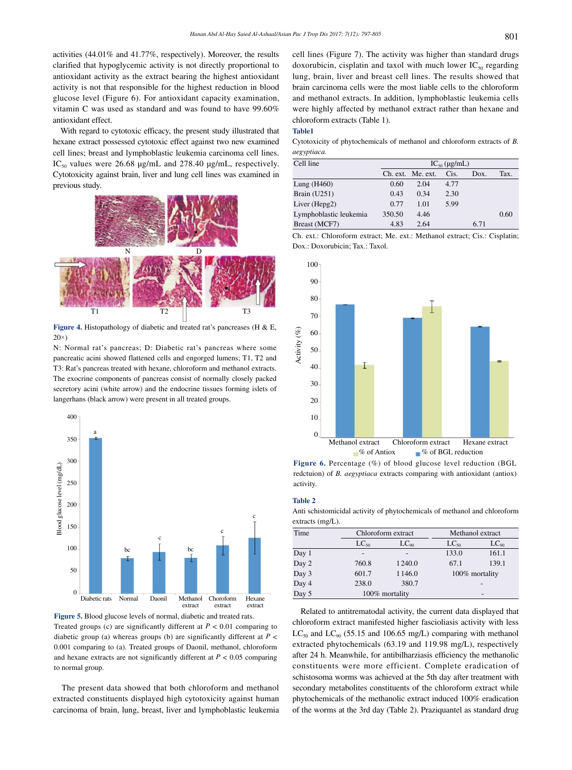activities (44.01% and 41.77%, respectively). Moreover, the results clarified that hypoglycemic activity is not directly proportional to antioxidant activity as the extract bearing the highest antioxidant activity is not that responsible for the highest reduction in blood glucose level (Figure 6). For antioxidant capacity examination, vitamin C was used as standard and was found to have 99.60% antioxidant effect.

 With regard to cytotoxic efficacy, the present study illustrated that hexane extract possessed cytotoxic effect against two new examined cell lines; breast and lymphoblastic leukemia carcinoma cell lines.  $IC_{50}$  values were 26.68 µg/mL and 278.40 µg/mL, respectively. Cytotoxicity against brain, liver and lung cell lines was examined in previous study.



**Figure 4.** Histopathology of diabetic and treated rat's pancreases (H & E,  $20\times$ 

N: Normal rat's pancreas; D: Diabetic rat's pancreas where some pancreatic acini showed flattened cells and engorged lumens; T1, T2 and T3: Rat's pancreas treated with hexane, chloroform and methanol extracts. The exocrine components of pancreas consist of normally closely packed secretory acini (white arrow) and the endocrine tissues forming islets of langerhans (black arrow) were present in all treated groups.



**Figure 5.** Blood glucose levels of normal, diabetic and treated rats. Treated groups (c) are significantly different at  $P < 0.01$  comparing to diabetic group (a) whereas groups (b) are significantly different at *P* < 0.001 comparing to (a). Treated groups of Daonil, methanol, chloroform and hexane extracts are not significantly different at  $P < 0.05$  comparing to normal group.

 The present data showed that both chloroform and methanol extracted constituents displayed high cytotoxicity against human carcinoma of brain, lung, breast, liver and lymphoblastic leukemia cell lines (Figure 7). The activity was higher than standard drugs doxorubicin, cisplatin and taxol with much lower  $IC_{50}$  regarding lung, brain, liver and breast cell lines. The results showed that brain carcinoma cells were the most liable cells to the chloroform and methanol extracts. In addition, lymphoblastic leukemia cells were highly affected by methanol extract rather than hexane and chloroform extracts (Table 1).

### **Table1**

Cytotoxicity of phytochemicals of methanol and chloroform extracts of *B. aegyptiaca.*

| Cell line              | $IC_{50}$ (µg/mL) |                   |      |      |      |  |
|------------------------|-------------------|-------------------|------|------|------|--|
|                        |                   | Ch. ext. Me. ext. | Cis. | Dox. | Tax. |  |
| Lung $(H460)$          | 0.60              | 2.04              | 4.77 |      |      |  |
| <b>Brain</b> (U251)    | 0.43              | 0.34              | 2.30 |      |      |  |
| Liver (Hepg2)          | 0.77              | 1.01              | 5.99 |      |      |  |
| Lymphoblastic leukemia | 350.50            | 4.46              |      |      | 0.60 |  |
| Breast (MCF7)          | 4.83              | 2.64              |      | 6.71 |      |  |

Ch. ext.: Chloroform extract; Me. ext.: Methanol extract; Cis.: Cisplatin; Dox.: Doxorubicin; Tax.: Taxol.



**Figure 6.** Percentage (%) of blood glucose level reduction (BGL redctuion) of *B. aegyptiaca* extracts comparing with antioxidant (antiox) activity.

#### **Table 2**

Anti schistomicidal activity of phytochemicals of methanol and chloroform extracts (mg/L).

| Time  | Chloroform extract |                | Methanol extract |           |  |
|-------|--------------------|----------------|------------------|-----------|--|
|       | $LC_{50}$          | $LC_{90}$      | $LC_{50}$        | $LC_{90}$ |  |
| Day 1 |                    |                | 133.0            | 161.1     |  |
| Day 2 | 760.8              | 1240.0         | 67.1             | 139.1     |  |
| Day 3 | 601.7              | 1146.0         | 100% mortality   |           |  |
| Day 4 | 238.0              | 380.7          |                  |           |  |
| Day 5 |                    | 100% mortality |                  |           |  |

 Related to antitrematodal activity, the current data displayed that chloroform extract manifested higher fascioliasis activity with less  $LC_{50}$  and  $LC_{90}$  (55.15 and 106.65 mg/L) comparing with methanol extracted phytochemicals (63.19 and 119.98 mg/L), respectively after 24 h. Meanwhile, for antibilharziasis efficiency the methanolic constituents were more efficient. Complete eradication of schistosoma worms was achieved at the 5th day after treatment with secondary metabolites constituents of the chloroform extract while phytochemicals of the methanolic extract induced 100% eradication of the worms at the 3rd day (Table 2). Praziquantel as standard drug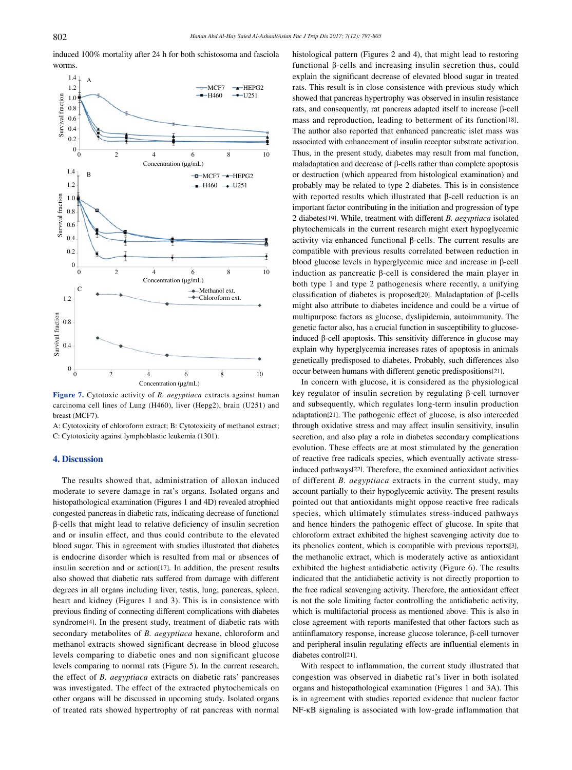induced 100% mortality after 24 h for both schistosoma and fasciola worms.



**Figure 7.** Cytotoxic activity of *B. aegyptiaca* extracts against human carcinoma cell lines of Lung (H460), liver (Hepg2), brain (U251) and breast (MCF7).

A: Cytotoxicity of chloroform extract; B: Cytotoxicity of methanol extract; C: Cytotoxicity against lymphoblastic leukemia (1301).

# **4. Discussion**

 The results showed that, administration of alloxan induced moderate to severe damage in rat's organs. Isolated organs and histopathological examination (Figures 1 and 4D) revealed atrophied congested pancreas in diabetic rats, indicating decrease of functional β-cells that might lead to relative deficiency of insulin secretion and or insulin effect, and thus could contribute to the elevated blood sugar. This in agreement with studies illustrated that diabetes is endocrine disorder which is resulted from mal or absences of insulin secretion and or action[17]. In addition, the present results also showed that diabetic rats suffered from damage with different degrees in all organs including liver, testis, lung, pancreas, spleen, heart and kidney (Figures 1 and 3). This is in consistence with previous finding of connecting different complications with diabetes syndrome[4]. In the present study, treatment of diabetic rats with secondary metabolites of *B. aegyptiaca* hexane, chloroform and methanol extracts showed significant decrease in blood glucose levels comparing to diabetic ones and non significant glucose levels comparing to normal rats (Figure 5). In the current research, the effect of *B. aegyptiaca* extracts on diabetic rats' pancreases was investigated. The effect of the extracted phytochemicals on other organs will be discussed in upcoming study. Isolated organs of treated rats showed hypertrophy of rat pancreas with normal histological pattern (Figures 2 and 4), that might lead to restoring functional β-cells and increasing insulin secretion thus, could explain the significant decrease of elevated blood sugar in treated rats. This result is in close consistence with previous study which showed that pancreas hypertrophy was observed in insulin resistance rats, and consequently, rat pancreas adapted itself to increase β-cell mass and reproduction, leading to betterment of its function[18]. The author also reported that enhanced pancreatic islet mass was associated with enhancement of insulin receptor substrate activation. Thus, in the present study, diabetes may result from mal function, maladaptation and decrease of β-cells rather than complete apoptosis or destruction (which appeared from histological examination) and probably may be related to type 2 diabetes. This is in consistence with reported results which illustrated that β-cell reduction is an important factor contributing in the initiation and progression of type 2 diabetes[19]. While, treatment with different *B. aegyptiaca* isolated phytochemicals in the current research might exert hypoglycemic activity via enhanced functional β-cells. The current results are compatible with previous results correlated between reduction in blood glucose levels in hyperglycemic mice and increase in β-cell induction as pancreatic β-cell is considered the main player in both type 1 and type 2 pathogenesis where recently, a unifying classification of diabetes is proposed[20]. Maladaptation of β-cells might also attribute to diabetes incidence and could be a virtue of multipurpose factors as glucose, dyslipidemia, autoimmunity. The genetic factor also, has a crucial function in susceptibility to glucoseinduced β-cell apoptosis. This sensitivity difference in glucose may explain why hyperglycemia increases rates of apoptosis in animals genetically predisposed to diabetes. Probably, such differences also occur between humans with different genetic predispositions[21].

 In concern with glucose, it is considered as the physiological key regulator of insulin secretion by regulating β-cell turnover and subsequently, which regulates long-term insulin production adaptation[21]. The pathogenic effect of glucose, is also interceded through oxidative stress and may affect insulin sensitivity, insulin secretion, and also play a role in diabetes secondary complications evolution. These effects are at most stimulated by the generation of reactive free radicals species, which eventually activate stressinduced pathways[22]. Therefore, the examined antioxidant activities of different *B. aegyptiaca* extracts in the current study, may account partially to their hypoglycemic activity. The present results pointed out that antioxidants might oppose reactive free radicals species, which ultimately stimulates stress-induced pathways and hence hinders the pathogenic effect of glucose. In spite that chloroform extract exhibited the highest scavenging activity due to its phenolics content, which is compatible with previous reports[3], the methanolic extract, which is moderately active as antioxidant exhibited the highest antidiabetic activity (Figure 6). The results indicated that the antidiabetic activity is not directly proportion to the free radical scavenging activity. Therefore, the antioxidant effect is not the sole limiting factor controlling the antidiabetic activity, which is multifactorial process as mentioned above. This is also in close agreement with reports manifested that other factors such as antiinflamatory response, increase glucose tolerance, β-cell turnover and peripheral insulin regulating effects are influential elements in diabetes control[21].

 With respect to inflammation, the current study illustrated that congestion was observed in diabetic rat's liver in both isolated organs and histopathological examination (Figures 1 and 3A). This is in agreement with studies reported evidence that nuclear factor NF-κB signaling is associated with low-grade inflammation that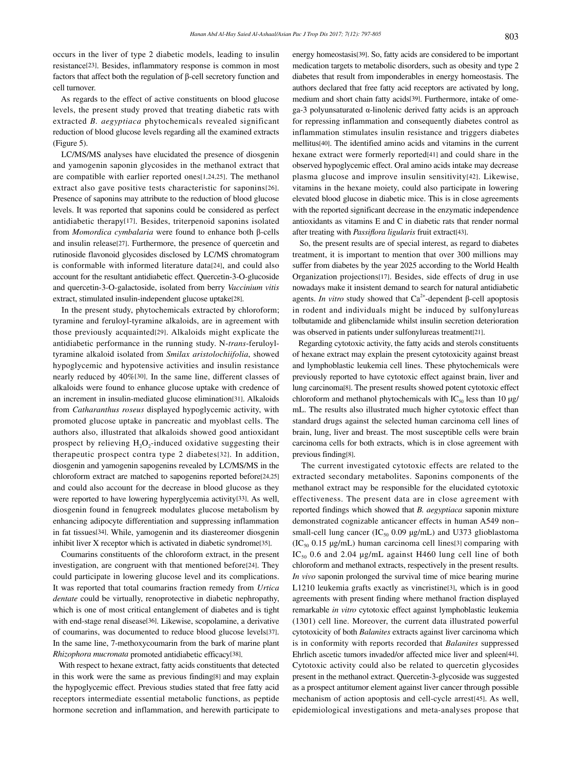occurs in the liver of type 2 diabetic models, leading to insulin resistance[23]. Besides, inflammatory response is common in most factors that affect both the regulation of β-cell secretory function and cell turnover.

 As regards to the effect of active constituents on blood glucose levels, the present study proved that treating diabetic rats with extracted *B. aegyptiaca* phytochemicals revealed significant reduction of blood glucose levels regarding all the examined extracts (Figure 5).

 LC/MS/MS analyses have elucidated the presence of diosgenin and yamogenin saponin glycosides in the methanol extract that are compatible with earlier reported ones[1,24,25]. The methanol extract also gave positive tests characteristic for saponins[26]. Presence of saponins may attribute to the reduction of blood glucose levels. It was reported that saponins could be considered as perfect antidiabetic therapy[17]. Besides, triterpenoid saponins isolated from *Momordica cymbalaria* were found to enhance both β-cells and insulin release[27]. Furthermore, the presence of quercetin and rutinoside flavonoid glycosides disclosed by LC/MS chromatogram is conformable with informed literature data[24], and could also account for the resultant antidiabetic effect. Quercetin-3-O-glucoside and quercetin-3-O-galactoside, isolated from berry *Vaccinium vitis* extract, stimulated insulin-independent glucose uptake[28].

 In the present study, phytochemicals extracted by chloroform; tyramine and feruloyl-tyramine alkaloids, are in agreement with those previously acquainted[29]. Alkaloids might explicate the antidiabetic performance in the running study. N-*trans*-feruloyltyramine alkaloid isolated from *Smilax aristolochiifolia*, showed hypoglycemic and hypotensive activities and insulin resistance nearly reduced by 40%[30]. In the same line, different classes of alkaloids were found to enhance glucose uptake with credence of an increment in insulin-mediated glucose elimination[31]. Alkaloids from *Catharanthus roseus* displayed hypoglycemic activity, with promoted glucose uptake in pancreatic and myoblast cells. The authors also, illustrated that alkaloids showed good antioxidant prospect by relieving  $H_2O_2$ -induced oxidative suggesting their therapeutic prospect contra type 2 diabetes[32]. In addition, diosgenin and yamogenin sapogenins revealed by LC/MS/MS in the chloroform extract are matched to sapogenins reported before[24,25] and could also account for the decrease in blood glucose as they were reported to have lowering hyperglycemia activity[33]. As well, diosgenin found in fenugreek modulates glucose metabolism by enhancing adipocyte differentiation and suppressing inflammation in fat tissues[34]. While, yamogenin and its diastereomer diosgenin inhibit liver X receptor which is activated in diabetic syndrome[35].

 Coumarins constituents of the chloroform extract, in the present investigation, are congruent with that mentioned before[24]. They could participate in lowering glucose level and its complications. It was reported that total coumarins fraction remedy from *Urtica dentate* could be virtually, renoprotective in diabetic nephropathy, which is one of most critical entanglement of diabetes and is tight with end-stage renal disease[36]. Likewise, scopolamine, a derivative of coumarins, was documented to reduce blood glucose levels[37]. In the same line, 7-methoxycoumarin from the bark of marine plant *Rhizophora mucronata* promoted antidiabetic efficacy[38].

 With respect to hexane extract, fatty acids constituents that detected in this work were the same as previous finding[8] and may explain the hypoglycemic effect. Previous studies stated that free fatty acid receptors intermediate essential metabolic functions, as peptide hormone secretion and inflammation, and herewith participate to energy homeostasis[39]. So, fatty acids are considered to be important medication targets to metabolic disorders, such as obesity and type 2 diabetes that result from imponderables in energy homeostasis. The authors declared that free fatty acid receptors are activated by long, medium and short chain fatty acids[39]. Furthermore, intake of omega-3 polyunsaturated α-linolenic derived fatty acids is an approach for repressing inflammation and consequently diabetes control as inflammation stimulates insulin resistance and triggers diabetes mellitus[40]. The identified amino acids and vitamins in the current hexane extract were formerly reported[41] and could share in the observed hypoglycemic effect. Oral amino acids intake may decrease plasma glucose and improve insulin sensitivity[42]. Likewise, vitamins in the hexane moiety, could also participate in lowering elevated blood glucose in diabetic mice. This is in close agreements with the reported significant decrease in the enzymatic independence antioxidants as vitamins E and C in diabetic rats that render normal after treating with *Passiflora ligularis* fruit extract[43].

 So, the present results are of special interest, as regard to diabetes treatment, it is important to mention that over 300 millions may suffer from diabetes by the year 2025 according to the World Health Organization projections[17]. Besides, side effects of drug in use nowadays make it insistent demand to search for natural antidiabetic agents. *In vitro* study showed that  $Ca<sup>2+</sup>$ -dependent β-cell apoptosis in rodent and individuals might be induced by sulfonylureas tolbutamide and glibenclamide whilst insulin secretion deterioration was observed in patients under sulfonylureas treatment[21].

 Regarding cytotoxic activity, the fatty acids and sterols constituents of hexane extract may explain the present cytotoxicity against breast and lymphoblastic leukemia cell lines. These phytochemicals were previously reported to have cytotoxic effect against brain, liver and lung carcinoma[8]. The present results showed potent cytotoxic effect chloroform and methanol phytochemicals with  $IC_{50}$  less than 10  $\mu$ g/ mL. The results also illustrated much higher cytotoxic effect than standard drugs against the selected human carcinoma cell lines of brain, lung, liver and breast. The most susceptible cells were brain carcinoma cells for both extracts, which is in close agreement with previous finding[8].

 The current investigated cytotoxic effects are related to the extracted secondary metabolites. Saponins components of the methanol extract may be responsible for the elucidated cytotoxic effectiveness. The present data are in close agreement with reported findings which showed that *B. aegyptiaca* saponin mixture demonstrated cognizable anticancer effects in human A549 non– small-cell lung cancer (IC<sub>50</sub> 0.09  $\mu$ g/mL) and U373 glioblastoma  $(IC_{50} 0.15 \mu g/mL)$  human carcinoma cell lines<sup>[3]</sup> comparing with  $IC_{50}$  0.6 and 2.04 µg/mL against H460 lung cell line of both chloroform and methanol extracts, respectively in the present results. *In vivo* saponin prolonged the survival time of mice bearing murine L1210 leukemia grafts exactly as vincristine[3], which is in good agreements with present finding where methanol fraction displayed remarkable *in vitro* cytotoxic effect against lymphoblastic leukemia (1301) cell line. Moreover, the current data illustrated powerful cytotoxicity of both *Balanites* extracts against liver carcinoma which is in conformity with reports recorded that *Balanites* suppressed Ehrlich ascetic tumors invaded/or affected mice liver and spleen[44]. Cytotoxic activity could also be related to quercetin glycosides present in the methanol extract. Quercetin-3-glycoside was suggested as a prospect antitumor element against liver cancer through possible mechanism of action apoptosis and cell-cycle arrest[45]. As well, epidemiological investigations and meta-analyses propose that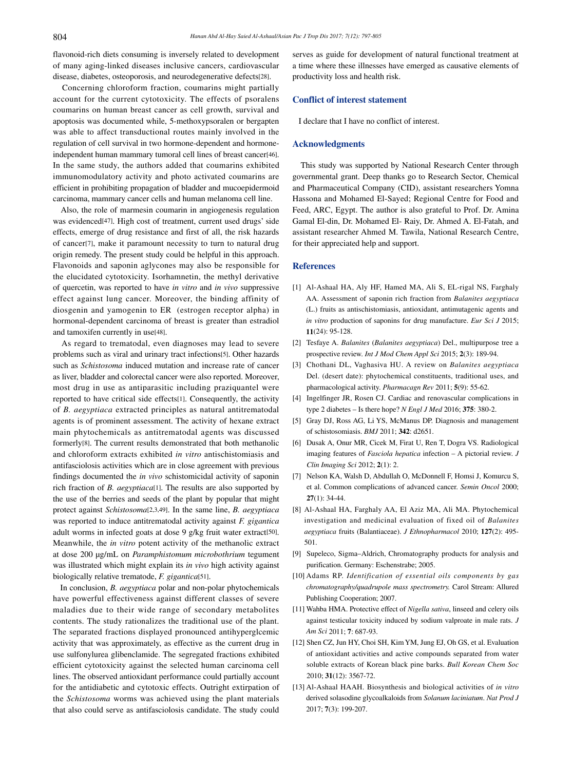flavonoid-rich diets consuming is inversely related to development of many aging-linked diseases inclusive cancers, cardiovascular disease, diabetes, osteoporosis, and neurodegenerative defects[28].

 Concerning chloroform fraction, coumarins might partially account for the current cytotoxicity. The effects of psoralens coumarins on human breast cancer as cell growth, survival and apoptosis was documented while, 5-methoxypsoralen or bergapten was able to affect transductional routes mainly involved in the regulation of cell survival in two hormone-dependent and hormoneindependent human mammary tumoral cell lines of breast cancer[46]. In the same study, the authors added that coumarins exhibited immunomodulatory activity and photo activated coumarins are efficient in prohibiting propagation of bladder and mucoepidermoid carcinoma, mammary cancer cells and human melanoma cell line.

 Also, the role of marmesin coumarin in angiogenesis regulation was evidenced[47]. High cost of treatment, current used drugs' side effects, emerge of drug resistance and first of all, the risk hazards of cancer[7], make it paramount necessity to turn to natural drug origin remedy. The present study could be helpful in this approach. Flavonoids and saponin aglycones may also be responsible for the elucidated cytotoxicity. Isorhamnetin, the methyl derivative of quercetin, was reported to have *in vitro* and *in vivo* suppressive effect against lung cancer. Moreover, the binding affinity of diosgenin and yamogenin to ER (estrogen receptor alpha) in hormonal-dependent carcinoma of breast is greater than estradiol and tamoxifen currently in use[48].

 As regard to trematodal, even diagnoses may lead to severe problems such as viral and urinary tract infections[5]. Other hazards such as *Schistosoma* induced mutation and increase rate of cancer as liver, bladder and colorectal cancer were also reported. Moreover, most drug in use as antiparasitic including praziquantel were reported to have critical side effects[1]. Consequently, the activity of *B. aegyptiaca* extracted principles as natural antitrematodal agents is of prominent assessment. The activity of hexane extract main phytochemicals as antitrematodal agents was discussed formerly[8]. The current results demonstrated that both methanolic and chloroform extracts exhibited *in vitro* antischistomiasis and antifasciolosis activities which are in close agreement with previous findings documented the *in vivo* schistomicidal activity of saponin rich fraction of *B. aegyptiaca*[1]. The results are also supported by the use of the berries and seeds of the plant by popular that might protect against *Schistosoma*[2,3,49]. In the same line, *B. aegyptiaca* was reported to induce antitrematodal activity against *F. gigantica* adult worms in infected goats at dose 9 g/kg fruit water extract[50]. Meanwhile, the *in vitro* potent activity of the methanolic extract at dose 200 µg/mL on *Paramphistomum microbothrium* tegument was illustrated which might explain its *in vivo* high activity against biologically relative trematode, *F. gigantica*[51].

 In conclusion, *B. aegyptiaca* polar and non-polar phytochemicals have powerful effectiveness against different classes of severe maladies due to their wide range of secondary metabolites contents. The study rationalizes the traditional use of the plant. The separated fractions displayed pronounced antihyperglcemic activity that was approximately, as effective as the current drug in use sulfonylurea glibenclamide. The segregated fractions exhibited efficient cytotoxicity against the selected human carcinoma cell lines. The observed antioxidant performance could partially account for the antidiabetic and cytotoxic effects. Outright extirpation of the *Schistosoma* worms was achieved using the plant materials that also could serve as antifasciolosis candidate. The study could

serves as guide for development of natural functional treatment at a time where these illnesses have emerged as causative elements of productivity loss and health risk.

# **Conflict of interest statement**

I declare that I have no conflict of interest.

#### **Acknowledgments**

 This study was supported by National Research Center through governmental grant. Deep thanks go to Research Sector, Chemical and Pharmaceutical Company (CID), assistant researchers Yomna Hassona and Mohamed El-Sayed; Regional Centre for Food and Feed, ARC, Egypt. The author is also grateful to Prof. Dr. Amina Gamal El-din, Dr. Mohamed El- Raiy, Dr. Ahmed A. El-Fatah, and assistant researcher Ahmed M. Tawila, National Research Centre, for their appreciated help and support.

# **References**

- [1] Al-Ashaal HA, Aly HF, Hamed MA, Ali S, EL-rigal NS, Farghaly AA. Assessment of saponin rich fraction from *Balanites aegyptiaca* (L.) fruits as antischistomiasis, antioxidant, antimutagenic agents and *in vitro* production of saponins for drug manufacture. *Eur Sci J* 2015; **11**(24): 95-128.
- [2] Tesfaye A. *Balanites* (*Balanites aegyptiaca*) Del., multipurpose tree a prospective review. *Int J Mod Chem Appl Sci* 2015; **2**(3): 189-94.
- [3] Chothani DL, Vaghasiva HU. A review on *Balanites aegyptiaca* Del. (desert date): phytochemical constituents, traditional uses, and pharmacological activity. *Pharmacagn Rev* 2011; **5**(9): 55-62.
- [4] Ingelfinger JR, Rosen CJ. Cardiac and renovascular complications in type 2 diabetes – Is there hope? *N Engl J Med* 2016; **375**: 380-2.
- [5] Gray DJ, Ross AG, Li YS, McManus DP. Diagnosis and management of schistosomiasis. *BMJ* 2011; **342**: d2651.
- [6] Dusak A, Onur MR, Cicek M, Firat U, Ren T, Dogra VS. Radiological imaging features of *Fasciola hepatica* infection – A pictorial review. *J Clin Imaging Sci* 2012; **2**(1): 2.
- [7] Nelson KA, Walsh D, Abdullah O, McDonnell F, Homsi J, Komurcu S, et al. Common complications of advanced cancer. *Semin Oncol* 2000; **27**(1): 34-44.
- [8] Al-Ashaal HA, Farghaly AA, El Aziz MA, Ali MA. Phytochemical investigation and medicinal evaluation of fixed oil of *Balanites aegyptiaca* fruits (Balantiaceae). *J Ethnopharmacol* 2010; **127**(2): 495- 501.
- [9] Supeleco, Sigma–Aldrich, Chromatography products for analysis and purification. Germany: Eschenstrabe; 2005.
- [10] Adams RP. *Identification of essential oils components by gas chromatography/quadrupole mass spectrometry.* Carol Stream: Allured Publishing Cooperation; 2007.
- [11] Wahba HMA. Protective effect of *Nigella sativa*, linseed and celery oils against testicular toxicity induced by sodium valproate in male rats. *J Am Sci* 2011; **7**: 687-93.
- [12] Shen CZ, Jun HY, Choi SH, Kim YM, Jung EJ, Oh GS, et al. Evaluation of antioxidant activities and active compounds separated from water soluble extracts of Korean black pine barks. *Bull Korean Chem Soc*  2010; **31**(12): 3567-72.
- [13] Al-Ashaal HAAH. Biosynthesis and biological activities of *in vitro*  derived solasodine glycoalkaloids from *Solanum laciniatum*. *Nat Prod J* 2017; **7**(3): 199-207.